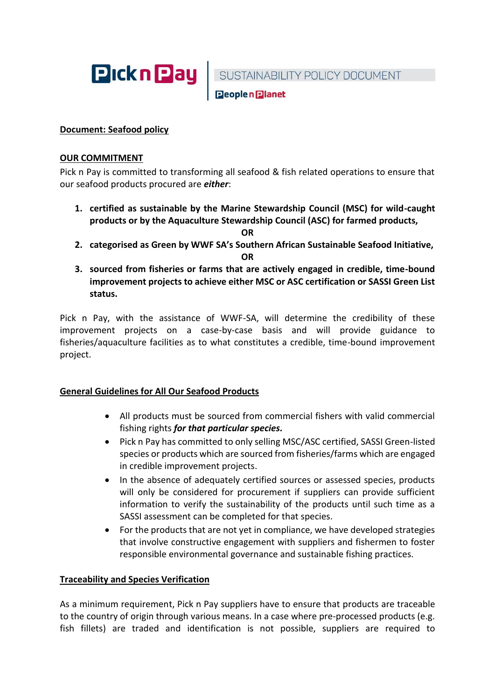

SUSTAINABILITY POLICY DOCUMENT<br>Beoplen Blanet

# **Document: Seafood policy**

## **OUR COMMITMENT**

Pick n Pay is committed to transforming all seafood & fish related operations to ensure that our seafood products procured are *either*:

**1. certified as sustainable by the Marine Stewardship Council (MSC) for wild-caught products or by the Aquaculture Stewardship Council (ASC) for farmed products,** 

**OR**

**2. categorised as Green by WWF SA's Southern African Sustainable Seafood Initiative,** 

**OR**

**3. sourced from fisheries or farms that are actively engaged in credible, time-bound improvement projects to achieve either MSC or ASC certification or SASSI Green List status.** 

Pick n Pay, with the assistance of WWF-SA, will determine the credibility of these improvement projects on a case-by-case basis and will provide guidance to fisheries/aquaculture facilities as to what constitutes a credible, time-bound improvement project.

# **General Guidelines for All Our Seafood Products**

- All products must be sourced from commercial fishers with valid commercial fishing rights *for that particular species.*
- Pick n Pay has committed to only selling MSC/ASC certified, SASSI Green-listed species or products which are sourced from fisheries/farms which are engaged in credible improvement projects.
- In the absence of adequately certified sources or assessed species, products will only be considered for procurement if suppliers can provide sufficient information to verify the sustainability of the products until such time as a SASSI assessment can be completed for that species.
- For the products that are not yet in compliance, we have developed strategies that involve constructive engagement with suppliers and fishermen to foster responsible environmental governance and sustainable fishing practices.

## **Traceability and Species Verification**

As a minimum requirement, Pick n Pay suppliers have to ensure that products are traceable to the country of origin through various means. In a case where pre-processed products (e.g. fish fillets) are traded and identification is not possible, suppliers are required to